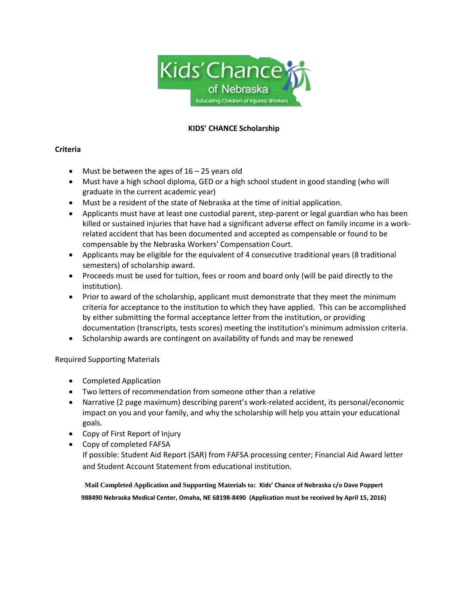

### **KIDS' CHANCE Scholarship**

### **Criteria**

- Must be between the ages of  $16 25$  years old
- Must have a high school diploma, GED or a high school student in good standing (who will graduate in the current academic year)
- Must be a resident of the state of Nebraska at the time of initial application.
- Applicants must have at least one custodial parent, step-parent or legal guardian who has been killed or sustained injuries that have had a significant adverse effect on family income in a workrelated accident that has been documented and accepted as compensable or found to be compensable by the Nebraska Workers' Compensation Court.
- Applicants may be eligible for the equivalent of 4 consecutive traditional years (8 traditional semesters) of scholarship award.
- Proceeds must be used for tuition, fees or room and board only (will be paid directly to the institution).
- Prior to award of the scholarship, applicant must demonstrate that they meet the minimum criteria for acceptance to the institution to which they have applied. This can be accomplished by either submitting the formal acceptance letter from the institution, or providing documentation (transcripts, tests scores) meeting the institution's minimum admission criteria.
- Scholarship awards are contingent on availability of funds and may be renewed

## Required Supporting Materials

- Completed Application
- Two letters of recommendation from someone other than a relative
- Narrative (2 page maximum) describing parent's work-related accident, its personal/economic impact on you and your family, and why the scholarship will help you attain your educational goals.
- Copy of First Report of Injury
- Copy of completed FAFSA If possible: Student Aid Report (SAR) from FAFSA processing center; Financial Aid Award letter and Student Account Statement from educational institution.

**Mail Completed Application and Supporting Materials to: Kids' Chance of Nebraska c/o Dave Poppert 988490 Nebraska Medical Center, Omaha, NE 68198-8490 (Application must be received by April 15, 2016)**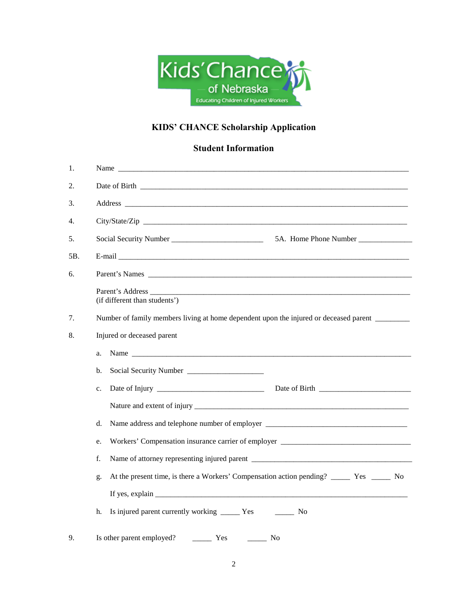

# **KIDS' CHANCE Scholarship Application**

## **Student Information**

| 1.  |                                                                                                                                                                                                                                                                                                                                                                                                      |  |  |  |  |
|-----|------------------------------------------------------------------------------------------------------------------------------------------------------------------------------------------------------------------------------------------------------------------------------------------------------------------------------------------------------------------------------------------------------|--|--|--|--|
| 2.  |                                                                                                                                                                                                                                                                                                                                                                                                      |  |  |  |  |
| 3.  |                                                                                                                                                                                                                                                                                                                                                                                                      |  |  |  |  |
| 4.  |                                                                                                                                                                                                                                                                                                                                                                                                      |  |  |  |  |
| 5.  | 5A. Home Phone Number                                                                                                                                                                                                                                                                                                                                                                                |  |  |  |  |
| 5B. |                                                                                                                                                                                                                                                                                                                                                                                                      |  |  |  |  |
| 6.  |                                                                                                                                                                                                                                                                                                                                                                                                      |  |  |  |  |
|     | Parent's Address<br>(if different than students')                                                                                                                                                                                                                                                                                                                                                    |  |  |  |  |
| 7.  | Number of family members living at home dependent upon the injured or deceased parent ______                                                                                                                                                                                                                                                                                                         |  |  |  |  |
| 8.  | Injured or deceased parent                                                                                                                                                                                                                                                                                                                                                                           |  |  |  |  |
|     | Name<br>a.                                                                                                                                                                                                                                                                                                                                                                                           |  |  |  |  |
|     | b.                                                                                                                                                                                                                                                                                                                                                                                                   |  |  |  |  |
|     | c.                                                                                                                                                                                                                                                                                                                                                                                                   |  |  |  |  |
|     |                                                                                                                                                                                                                                                                                                                                                                                                      |  |  |  |  |
|     | d.<br>Name address and telephone number of employer __________________________________                                                                                                                                                                                                                                                                                                               |  |  |  |  |
|     | Workers' Compensation insurance carrier of employer ____________________________<br>e.                                                                                                                                                                                                                                                                                                               |  |  |  |  |
|     | f.                                                                                                                                                                                                                                                                                                                                                                                                   |  |  |  |  |
|     | g.                                                                                                                                                                                                                                                                                                                                                                                                   |  |  |  |  |
|     | If yes, explain $\frac{1}{\sqrt{1-\frac{1}{2}}\sqrt{1-\frac{1}{2}}\sqrt{1-\frac{1}{2}}\sqrt{1-\frac{1}{2}}\sqrt{1-\frac{1}{2}}\sqrt{1-\frac{1}{2}}\sqrt{1-\frac{1}{2}}\sqrt{1-\frac{1}{2}}\sqrt{1-\frac{1}{2}}\sqrt{1-\frac{1}{2}}\sqrt{1-\frac{1}{2}}\sqrt{1-\frac{1}{2}}\sqrt{1-\frac{1}{2}}\sqrt{1-\frac{1}{2}}\sqrt{1-\frac{1}{2}}\sqrt{1-\frac{1}{2}}\sqrt{1-\frac{1}{2}}\sqrt{1-\frac{1}{2}}\$ |  |  |  |  |
|     | h.<br>Is injured parent currently working _______ Yes<br><b>Solution</b> No.                                                                                                                                                                                                                                                                                                                         |  |  |  |  |
| 9.  | Is other parent employed?<br>$\frac{1}{1}$ Yes<br>$\frac{1}{\sqrt{1-\frac{1}{2}}}\sqrt{1-\frac{1}{2}}$                                                                                                                                                                                                                                                                                               |  |  |  |  |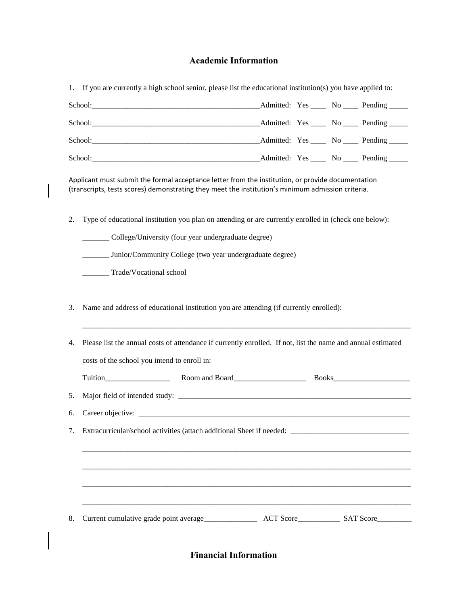### **Academic Information**

1. If you are currently a high school senior, please list the educational institution(s) you have applied to:

| School: 2000 and 2000 and 2000 and 2000 and 2000 and 2000 and 2000 and 2000 and 2000 and 2000 and 2000 and 200 |  | Admitted: Yes _____ No _____ Pending _____ |
|----------------------------------------------------------------------------------------------------------------|--|--------------------------------------------|
|                                                                                                                |  | Admitted: Yes _____ No _____ Pending _____ |
|                                                                                                                |  | __Admitted: Yes ____ No ____ Pending ____  |
|                                                                                                                |  | Admitted: Yes _____ No _____ Pending _____ |

Applicant must submit the formal acceptance letter from the institution, or provide documentation (transcripts, tests scores) demonstrating they meet the institution's minimum admission criteria.

2. Type of educational institution you plan on attending or are currently enrolled in (check one below):

\_\_\_\_\_\_\_ College/University (four year undergraduate degree)

\_\_\_\_\_\_\_ Junior/Community College (two year undergraduate degree)

\_\_\_\_\_\_\_ Trade/Vocational school

3. Name and address of educational institution you are attending (if currently enrolled):

| 4. Please list the annual costs of attendance if currently enrolled. If not, list the name and annual estimated |                |  |  |
|-----------------------------------------------------------------------------------------------------------------|----------------|--|--|
| costs of the school you intend to enroll in:                                                                    |                |  |  |
|                                                                                                                 | Room and Board |  |  |
|                                                                                                                 |                |  |  |
| 6. Career objective:                                                                                            |                |  |  |

\_\_\_\_\_\_\_\_\_\_\_\_\_\_\_\_\_\_\_\_\_\_\_\_\_\_\_\_\_\_\_\_\_\_\_\_\_\_\_\_\_\_\_\_\_\_\_\_\_\_\_\_\_\_\_\_\_\_\_\_\_\_\_\_\_\_\_\_\_\_\_\_\_\_\_\_\_\_\_\_\_\_\_\_\_\_

7. Extracurricular/school activities (attach additional Sheet if needed: \_\_\_\_\_\_\_\_\_\_\_\_\_\_\_\_\_\_\_\_\_\_\_\_\_\_\_\_\_\_\_

| 8. Current cumulative grade point average |  |  |  |
|-------------------------------------------|--|--|--|
|-------------------------------------------|--|--|--|

\_\_\_\_\_\_\_\_\_\_\_\_\_\_\_\_\_\_\_\_\_\_\_\_\_\_\_\_\_\_\_\_\_\_\_\_\_\_\_\_\_\_\_\_\_\_\_\_\_\_\_\_\_\_\_\_\_\_\_\_\_\_\_\_\_\_\_\_\_\_\_\_\_\_\_\_\_\_\_\_\_\_\_\_\_\_

\_\_\_\_\_\_\_\_\_\_\_\_\_\_\_\_\_\_\_\_\_\_\_\_\_\_\_\_\_\_\_\_\_\_\_\_\_\_\_\_\_\_\_\_\_\_\_\_\_\_\_\_\_\_\_\_\_\_\_\_\_\_\_\_\_\_\_\_\_\_\_\_\_\_\_\_\_\_\_\_\_\_\_\_\_\_

\_\_\_\_\_\_\_\_\_\_\_\_\_\_\_\_\_\_\_\_\_\_\_\_\_\_\_\_\_\_\_\_\_\_\_\_\_\_\_\_\_\_\_\_\_\_\_\_\_\_\_\_\_\_\_\_\_\_\_\_\_\_\_\_\_\_\_\_\_\_\_\_\_\_\_\_\_\_\_\_\_\_\_\_\_\_

\_\_\_\_\_\_\_\_\_\_\_\_\_\_\_\_\_\_\_\_\_\_\_\_\_\_\_\_\_\_\_\_\_\_\_\_\_\_\_\_\_\_\_\_\_\_\_\_\_\_\_\_\_\_\_\_\_\_\_\_\_\_\_\_\_\_\_\_\_\_\_\_\_\_\_\_\_\_\_\_\_\_\_\_\_\_

**Financial Information**